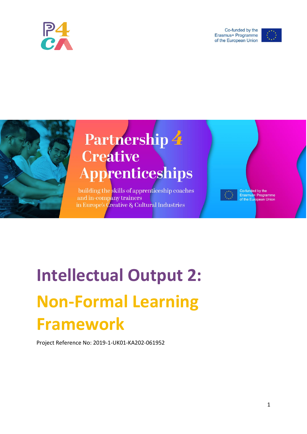

Co-funded by the Erasmus+ Programme of the European Union





## Partnership 4 **Creative** Apprenticeships

building the skills of apprenticeship coaches and in-company trainers in Europe's *Creative & Cultural Industries* 

Co-funded by the<br>Erasmus+ Programme<br>of the European Union

# **Intellectual Output 2: Non-Formal Learning Framework**

Project Reference No: 2019-1-UK01-KA202-061952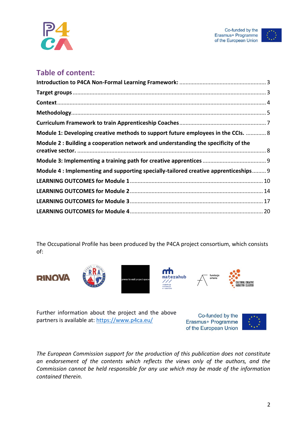



### **Table of content:**

| Module 1: Developing creative methods to support future employees in the CCIs.  8    |  |
|--------------------------------------------------------------------------------------|--|
| Module 2 : Building a cooperation network and understanding the specificity of the   |  |
|                                                                                      |  |
| Module 4 : Implementing and supporting specially-tailored creative apprenticeships 9 |  |
|                                                                                      |  |
|                                                                                      |  |
|                                                                                      |  |
|                                                                                      |  |

The Occupational Profile has been produced by the P4CA project consortium, which consists of:













Further information about the project and the above partners is available at:<https://www.p4ca.eu/>

Co-funded by the Erasmus+ Programme of the European Union



*The European Commission support for the production of this publication does not constitute an endorsement of the contents which reflects the views only of the authors, and the Commission cannot be held responsible for any use which may be made of the information contained therein.*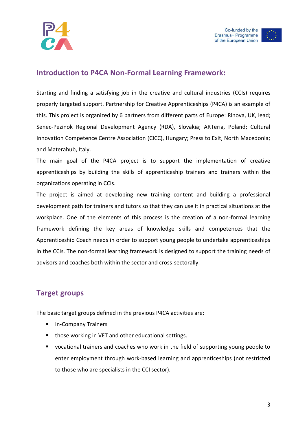



#### <span id="page-2-0"></span>**Introduction to P4CA Non-Formal Learning Framework:**

Starting and finding a satisfying job in the creative and cultural industries (CCIs) requires properly targeted support. Partnership for Creative Apprenticeships (P4CA) is an example of this. This project is organized by 6 partners from different parts of Europe: Rinova, UK, lead; Senec-Pezinok Regional Development Agency (RDA), Slovakia; ARTeria, Poland; Cultural Innovation Competence Centre Association (CICC), Hungary; Press to Exit, North Macedonia; and Materahub, Italy.

The main goal of the P4CA project is to support the implementation of creative apprenticeships by building the skills of apprenticeship trainers and trainers within the organizations operating in CCIs.

The project is aimed at developing new training content and building a professional development path for trainers and tutors so that they can use it in practical situations at the workplace. One of the elements of this process is the creation of a non-formal learning framework defining the key areas of knowledge skills and competences that the Apprenticeship Coach needs in order to support young people to undertake apprenticeships in the CCIs. The non-formal learning framework is designed to support the training needs of advisors and coaches both within the sector and cross-sectorally.

#### <span id="page-2-1"></span>**Target groups**

The basic target groups defined in the previous P4CA activities are:

- In-Company Trainers
- those working in VET and other educational settings.
- vocational trainers and coaches who work in the field of supporting young people to enter employment through work-based learning and apprenticeships (not restricted to those who are specialists in the CCI sector).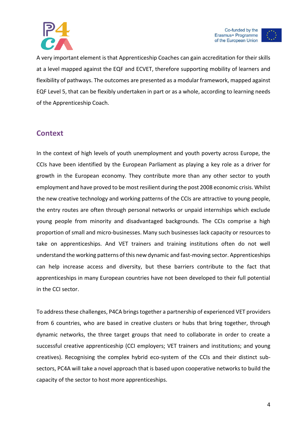

Co-funded by the Erasmus+ Programme of the European Union

A very important element is that Apprenticeship Coaches can gain accreditation for their skills at a level mapped against the EQF and ECVET, therefore supporting mobility of learners and flexibility of pathways. The outcomes are presented as a modular framework, mapped against EQF Level 5, that can be flexibly undertaken in part or as a whole, according to learning needs of the Apprenticeship Coach.

#### <span id="page-3-0"></span>**Context**

In the context of high levels of youth unemployment and youth poverty across Europe, the CCIs have been identified by the European Parliament as playing a key role as a driver for growth in the European economy. They contribute more than any other sector to youth employment and have proved to be most resilient during the post 2008 economic crisis. Whilst the new creative technology and working patterns of the CCIs are attractive to young people, the entry routes are often through personal networks or unpaid internships which exclude young people from minority and disadvantaged backgrounds. The CCIs comprise a high proportion of small and micro-businesses. Many such businesses lack capacity or resources to take on apprenticeships. And VET trainers and training institutions often do not well understand the working patterns of this new dynamic and fast-moving sector. Apprenticeships can help increase access and diversity, but these barriers contribute to the fact that apprenticeships in many European countries have not been developed to their full potential in the CCI sector.

To address these challenges, P4CA brings together a partnership of experienced VET providers from 6 countries, who are based in creative clusters or hubs that bring together, through dynamic networks, the three target groups that need to collaborate in order to create a successful creative apprenticeship (CCI employers; VET trainers and institutions; and young creatives). Recognising the complex hybrid eco-system of the CCIs and their distinct subsectors, PC4A will take a novel approach that is based upon cooperative networks to build the capacity of the sector to host more apprenticeships.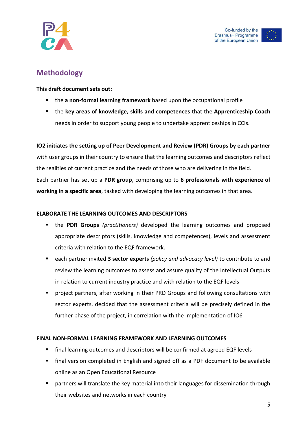

#### <span id="page-4-0"></span>**Methodology**

**This draft document sets out:**

- **EXT** the a non-formal learning framework based upon the occupational profile
- the **key areas of knowledge, skills and competences** that the **Apprenticeship Coach** needs in order to support young people to undertake apprenticeships in CCIs.

**IO2 initiates the setting up of Peer Development and Review (PDR) Groups by each partner** with user groups in their country to ensure that the learning outcomes and descriptors reflect the realities of current practice and the needs of those who are delivering in the field. Each partner has set up a **PDR group**, comprising up to **6 professionals with experience of working in a specific area**, tasked with developing the learning outcomes in that area.

#### **ELABORATE THE LEARNING OUTCOMES AND DESCRIPTORS**

- the **PDR Groups** *(practitioners)* developed the learning outcomes and proposed appropriate descriptors (skills, knowledge and competences), levels and assessment criteria with relation to the EQF framework.
- each partner invited **3 sector experts** *(policy and advocacy level)* to contribute to and review the learning outcomes to assess and assure quality of the Intellectual Outputs in relation to current industry practice and with relation to the EQF levels
- project partners, after working in their PRD Groups and following consultations with sector experts, decided that the assessment criteria will be precisely defined in the further phase of the project, in correlation with the implementation of IO6

#### **FINAL NON-FORMAL LEARNING FRAMEWORK AND LEARNING OUTCOMES**

- final learning outcomes and descriptors will be confirmed at agreed EQF levels
- final version completed in English and signed off as a PDF document to be available online as an Open Educational Resource
- partners will translate the key material into their languages for dissemination through their websites and networks in each country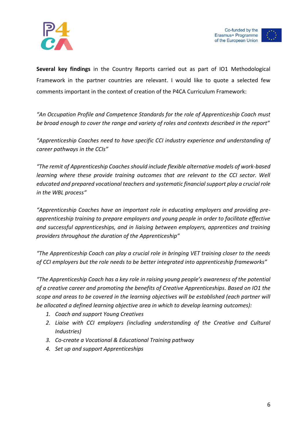



**Several key findings** in the Country Reports carried out as part of IO1 Methodological Framework in the partner countries are relevant. I would like to quote a selected few comments important in the context of creation of the P4CA Curriculum Framework:

*"An Occupation Profile and Competence Standards for the role of Apprenticeship Coach must be broad enough to cover the range and variety of roles and contexts described in the report"*

*"Apprenticeship Coaches need to have specific CCI industry experience and understanding of career pathways in the CCIs"*

*"The remit of Apprenticeship Coaches should include flexible alternative models of work-based learning where these provide training outcomes that are relevant to the CCI sector. Well educated and prepared vocational teachers and systematic financial support play a crucial role in the WBL process"*

*"Apprenticeship Coaches have an important role in educating employers and providing preapprenticeship training to prepare employers and young people in order to facilitate effective and successful apprenticeships, and in liaising between employers, apprentices and training providers throughout the duration of the Apprenticeship"*

*"The Apprenticeship Coach can play a crucial role in bringing VET training closer to the needs of CCI employers but the role needs to be better integrated into apprenticeship frameworks"*

*"The Apprenticeship Coach has a key role in raising young people's awareness of the potential of a creative career and promoting the benefits of Creative Apprenticeships. Based on IO1 the scope and areas to be covered in the learning objectives will be established (each partner will be allocated a defined learning objective area in which to develop learning outcomes):*

- *1. Coach and support Young Creatives*
- *2. Liaise with CCI employers (including understanding of the Creative and Cultural Industries)*
- *3. Co-create a Vocational & Educational Training pathway*
- *4. Set up and support Apprenticeships*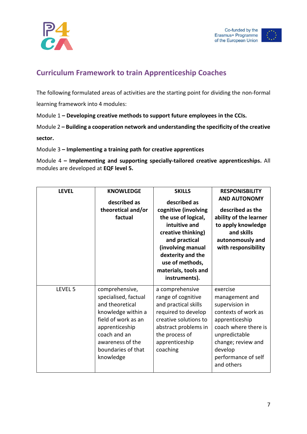



## <span id="page-6-0"></span>**Curriculum Framework to train Apprenticeship Coaches**

The following formulated areas of activities are the starting point for dividing the non-formal

learning framework into 4 modules:

Module 1 **– Developing creative methods to support future employees in the CCIs.**

Module 2 **– Building a cooperation network and understanding the specificity of the creative** 

**sector.**

Module 3 **– Implementing a training path for creative apprentices**

Module 4 **– Implementing and supporting specially-tailored creative apprenticeships.** All modules are developed at **EQF level 5.**

| <b>LEVEL</b> | <b>KNOWLEDGE</b><br>described as<br>theoretical and/or<br>factual                                                                                                                               | <b>SKILLS</b><br>described as<br>cognitive (involving<br>the use of logical,<br>intuitive and<br>creative thinking)<br>and practical<br>(involving manual<br>dexterity and the<br>use of methods,<br>materials, tools and<br>instruments). | <b>RESPONISBILITY</b><br><b>AND AUTONOMY</b><br>described as the<br>ability of the learner<br>to apply knowledge<br>and skills<br>autonomously and<br>with responsibility                            |
|--------------|-------------------------------------------------------------------------------------------------------------------------------------------------------------------------------------------------|--------------------------------------------------------------------------------------------------------------------------------------------------------------------------------------------------------------------------------------------|------------------------------------------------------------------------------------------------------------------------------------------------------------------------------------------------------|
| LEVEL 5      | comprehensive,<br>specialised, factual<br>and theoretical<br>knowledge within a<br>field of work as an<br>apprenticeship<br>coach and an<br>awareness of the<br>boundaries of that<br>knowledge | a comprehensive<br>range of cognitive<br>and practical skills<br>required to develop<br>creative solutions to<br>abstract problems in<br>the process of<br>apprenticeship<br>coaching                                                      | exercise<br>management and<br>supervision in<br>contexts of work as<br>apprenticeship<br>coach where there is<br>unpredictable<br>change; review and<br>develop<br>performance of self<br>and others |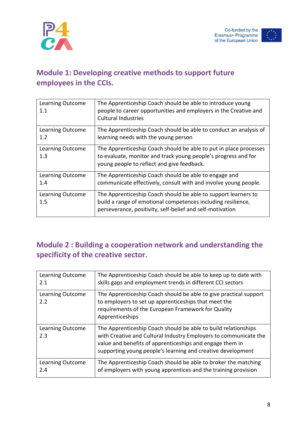





## <span id="page-7-0"></span>**Module 1: Developing creative methods to support future employees in the CCIs.**

| <b>Learning Outcome</b><br>$1.1\,$ | The Apprenticeship Coach should be able to introduce young<br>people to career opportunities and employers in the Creative and<br><b>Cultural Industries</b>                                |
|------------------------------------|---------------------------------------------------------------------------------------------------------------------------------------------------------------------------------------------|
| <b>Learning Outcome</b><br>1.2     | The Apprenticeship Coach should be able to conduct an analysis of<br>learning needs with the young person                                                                                   |
| Learning Outcome<br>1.3            | The Apprenticeship Coach should be able to put in place processes<br>to evaluate, monitor and track young people's progress and for<br>young people to reflect and give feedback.           |
| Learning Outcome<br>1.4            | The Apprenticeship Coach should be able to engage and<br>communicate effectively, consult with and involve young people.                                                                    |
| Learning Outcome<br>1.5            | The Apprenticeship Coach should be able to support learners to<br>build a range of emotional competences including resilience,<br>perseverance, positivity, self-belief and self-motivation |

## <span id="page-7-1"></span>**Module 2 : Building a cooperation network and understanding the specificity of the creative sector.**

| Learning Outcome        | The Apprenticeship Coach should be able to keep up to date with                                                                                                                                                                                               |
|-------------------------|---------------------------------------------------------------------------------------------------------------------------------------------------------------------------------------------------------------------------------------------------------------|
| 2.1                     | skills gaps and employment trends in different CCI sectors                                                                                                                                                                                                    |
| Learning Outcome<br>2.2 | The Apprenticeship Coach should be able to give practical support<br>to employers to set up apprenticeships that meet the<br>requirements of the European Framework for Quality<br>Apprenticeships                                                            |
| Learning Outcome<br>2.3 | The Apprenticeship Coach should be able to build relationships<br>with Creative and Cultural Industry Employers to communicate the<br>value and benefits of apprenticeships and engage them in<br>supporting young people's learning and creative development |
| Learning Outcome        | The Apprenticeship Coach should be able to broker the matching                                                                                                                                                                                                |
| 2.4                     | of employers with young apprentices and the training provision                                                                                                                                                                                                |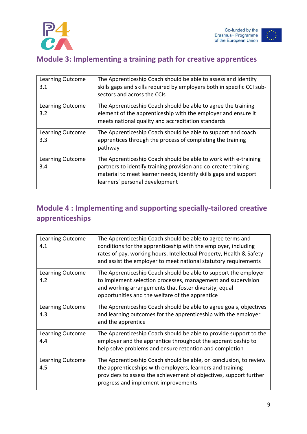

## <span id="page-8-0"></span>**Module 3: Implementing a training path for creative apprentices**

| Learning Outcome<br>3.1 | The Apprenticeship Coach should be able to assess and identify<br>skills gaps and skills required by employers both in specific CCI sub-<br>sectors and across the CCIs                                                                 |
|-------------------------|-----------------------------------------------------------------------------------------------------------------------------------------------------------------------------------------------------------------------------------------|
| Learning Outcome<br>3.2 | The Apprenticeship Coach should be able to agree the training<br>element of the apprenticeship with the employer and ensure it<br>meets national quality and accreditation standards                                                    |
| Learning Outcome<br>3.3 | The Apprenticeship Coach should be able to support and coach<br>apprentices through the process of completing the training<br>pathway                                                                                                   |
| Learning Outcome<br>3.4 | The Apprenticeship Coach should be able to work with e-training<br>partners to identify training provision and co-create training<br>material to meet learner needs, identify skills gaps and support<br>learners' personal development |

## <span id="page-8-1"></span>**Module 4 : Implementing and supporting specially-tailored creative apprenticeships**

| <b>Learning Outcome</b><br>4.1 | The Apprenticeship Coach should be able to agree terms and<br>conditions for the apprenticeship with the employer, including<br>rates of pay, working hours, Intellectual Property, Health & Safety<br>and assist the employer to meet national statutory requirements |
|--------------------------------|------------------------------------------------------------------------------------------------------------------------------------------------------------------------------------------------------------------------------------------------------------------------|
| <b>Learning Outcome</b><br>4.2 | The Apprenticeship Coach should be able to support the employer<br>to implement selection processes, management and supervision<br>and working arrangements that foster diversity, equal<br>opportunities and the welfare of the apprentice                            |
| <b>Learning Outcome</b><br>4.3 | The Apprenticeship Coach should be able to agree goals, objectives<br>and learning outcomes for the apprenticeship with the employer<br>and the apprentice                                                                                                             |
| Learning Outcome<br>4.4        | The Apprenticeship Coach should be able to provide support to the<br>employer and the apprentice throughout the apprenticeship to<br>help solve problems and ensure retention and completion                                                                           |
| <b>Learning Outcome</b><br>4.5 | The Apprenticeship Coach should be able, on conclusion, to review<br>the apprenticeships with employers, learners and training<br>providers to assess the achievement of objectives, support further<br>progress and implement improvements                            |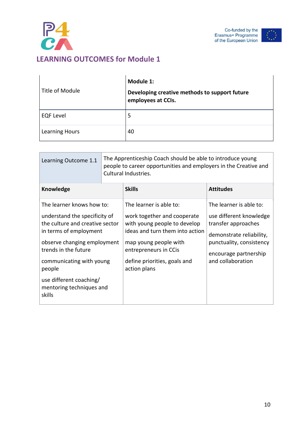

÷



<span id="page-9-0"></span>

|                       | Module 1:                                                           |
|-----------------------|---------------------------------------------------------------------|
| Title of Module       | Developing creative methods to support future<br>employees at CCIs. |
| <b>EQF Level</b>      | 5                                                                   |
| <b>Learning Hours</b> | 40                                                                  |

| Learning Outcome 1.1                                                                                                                                                                                                                                                                  | The Apprenticeship Coach should be able to introduce young<br>people to career opportunities and employers in the Creative and<br>Cultural Industries. |                                                                                                                                                                                                                             |                                                                                                                                                                                 |
|---------------------------------------------------------------------------------------------------------------------------------------------------------------------------------------------------------------------------------------------------------------------------------------|--------------------------------------------------------------------------------------------------------------------------------------------------------|-----------------------------------------------------------------------------------------------------------------------------------------------------------------------------------------------------------------------------|---------------------------------------------------------------------------------------------------------------------------------------------------------------------------------|
| <b>Knowledge</b>                                                                                                                                                                                                                                                                      |                                                                                                                                                        | <b>Skills</b>                                                                                                                                                                                                               | <b>Attitudes</b>                                                                                                                                                                |
| The learner knows how to:<br>understand the specificity of<br>the culture and creative sector<br>in terms of employment<br>observe changing employment<br>trends in the future<br>communicating with young<br>people<br>use different coaching/<br>mentoring techniques and<br>skills |                                                                                                                                                        | The learner is able to:<br>work together and cooperate<br>with young people to develop<br>ideas and turn them into action<br>map young people with<br>entrepreneurs in CCis<br>define priorities, goals and<br>action plans | The learner is able to:<br>use different knowledge<br>transfer approaches<br>demonstrate reliability,<br>punctuality, consistency<br>encourage partnership<br>and collaboration |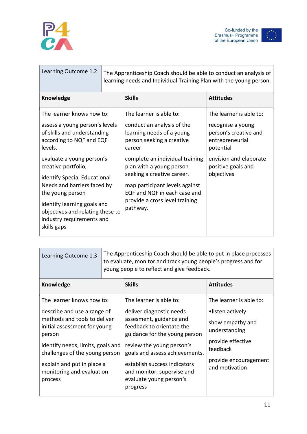

| ÷  |
|----|
|    |
|    |
| ī. |

| Learning Outcome 1.2                                                                                                                                                                                                                                                                                                                                                                    | The Apprenticeship Coach should be able to conduct an analysis of<br>learning needs and Individual Training Plan with the young person. |                                                                                                                                                                                                                                                                                                                                        |                                                                                                                                                                     |
|-----------------------------------------------------------------------------------------------------------------------------------------------------------------------------------------------------------------------------------------------------------------------------------------------------------------------------------------------------------------------------------------|-----------------------------------------------------------------------------------------------------------------------------------------|----------------------------------------------------------------------------------------------------------------------------------------------------------------------------------------------------------------------------------------------------------------------------------------------------------------------------------------|---------------------------------------------------------------------------------------------------------------------------------------------------------------------|
| Knowledge                                                                                                                                                                                                                                                                                                                                                                               |                                                                                                                                         | <b>Skills</b>                                                                                                                                                                                                                                                                                                                          | <b>Attitudes</b>                                                                                                                                                    |
| The learner knows how to:<br>assess a young person's levels<br>of skills and understanding<br>according to NQF and EQF<br>levels.<br>evaluate a young person's<br>creative portfolio,<br>identify Special Educational<br>Needs and barriers faced by<br>the young person<br>identify learning goals and<br>objectives and relating these to<br>industry requirements and<br>skills gaps |                                                                                                                                         | The learner is able to:<br>conduct an analysis of the<br>learning needs of a young<br>person seeking a creative<br>career<br>complete an individual training<br>plan with a young person<br>seeking a creative career.<br>map participant levels against<br>EQF and NQF in each case and<br>provide a cross level training<br>pathway. | The learner is able to:<br>recognise a young<br>person's creative and<br>entrepreneurial<br>potential<br>envision and elaborate<br>positive goals and<br>objectives |

| Learning Outcome 1.3                                                                                                                                                         | The Apprenticeship Coach should be able to put in place processes<br>to evaluate, monitor and track young people's progress and for<br>young people to reflect and give feedback. |                                                                                                                                                                                  |                                                                                        |
|------------------------------------------------------------------------------------------------------------------------------------------------------------------------------|-----------------------------------------------------------------------------------------------------------------------------------------------------------------------------------|----------------------------------------------------------------------------------------------------------------------------------------------------------------------------------|----------------------------------------------------------------------------------------|
| Knowledge                                                                                                                                                                    |                                                                                                                                                                                   | <b>Skills</b>                                                                                                                                                                    | <b>Attitudes</b>                                                                       |
| The learner knows how to:                                                                                                                                                    |                                                                                                                                                                                   | The learner is able to:                                                                                                                                                          | The learner is able to:                                                                |
| describe and use a range of<br>methods and tools to deliver<br>initial assessment for young<br>person<br>identify needs, limits, goals and<br>challenges of the young person |                                                                                                                                                                                   | deliver diagnostic needs<br>assesment, guidance and<br>feedback to orientate the<br>guidance for the young person<br>review the young person's<br>goals and assess achievements. | •listen actively<br>show empathy and<br>understanding<br>provide effective<br>feedback |
| explain and put in place a<br>monitoring and evaluation<br>process                                                                                                           |                                                                                                                                                                                   | establish success indicators<br>and monitor, supervise and<br>evaluate young person's<br>progress                                                                                | provide encouragement<br>and motivation                                                |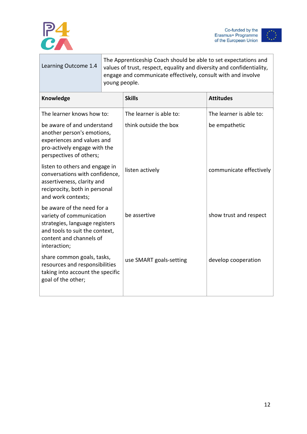



| Learning Outcome 1.4                                                                                                                                                  | The Apprenticeship Coach should be able to set expectations and<br>values of trust, respect, equality and diversity and confidentiality,<br>engage and communicate effectively, consult with and involve<br>young people. |                         |                         |
|-----------------------------------------------------------------------------------------------------------------------------------------------------------------------|---------------------------------------------------------------------------------------------------------------------------------------------------------------------------------------------------------------------------|-------------------------|-------------------------|
| Knowledge                                                                                                                                                             |                                                                                                                                                                                                                           | <b>Skills</b>           | <b>Attitudes</b>        |
| The learner knows how to:                                                                                                                                             |                                                                                                                                                                                                                           | The learner is able to: | The learner is able to: |
| be aware of and understand<br>another person's emotions,<br>experiences and values and<br>pro-actively engage with the<br>perspectives of others;                     |                                                                                                                                                                                                                           | think outside the box   | be empathetic           |
| listen to others and engage in<br>conversations with confidence,<br>assertiveness, clarity and<br>reciprocity, both in personal<br>and work contexts;                 |                                                                                                                                                                                                                           | listen actively         | communicate effectively |
| be aware of the need for a<br>variety of communication<br>strategies, language registers<br>and tools to suit the context,<br>content and channels of<br>interaction; |                                                                                                                                                                                                                           | be assertive            | show trust and respect  |
| share common goals, tasks,<br>resources and responsibilities<br>taking into account the specific<br>goal of the other;                                                |                                                                                                                                                                                                                           | use SMART goals-setting | develop cooperation     |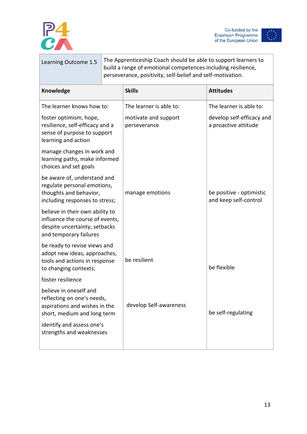



| Learning Outcome 1.5                                                                                                          | The Apprenticeship Coach should be able to support learners to<br>build a range of emotional competences including resilience,<br>perseverance, positivity, self-belief and self-motivation. |                                      |                                                   |
|-------------------------------------------------------------------------------------------------------------------------------|----------------------------------------------------------------------------------------------------------------------------------------------------------------------------------------------|--------------------------------------|---------------------------------------------------|
| Knowledge                                                                                                                     |                                                                                                                                                                                              | <b>Skills</b>                        | <b>Attitudes</b>                                  |
| The learner knows how to:                                                                                                     |                                                                                                                                                                                              | The learner is able to:              | The learner is able to:                           |
| foster optimism, hope,<br>resilience, self-efficacy and a<br>sense of purpose to support<br>learning and action               |                                                                                                                                                                                              | motivate and support<br>perseverance | develop self-efficacy and<br>a proactive attitude |
| manage changes in work and<br>learning paths, make informed<br>choices and set goals                                          |                                                                                                                                                                                              |                                      |                                                   |
| be aware of, understand and<br>regulate personal emotions,<br>thoughts and behavior,<br>including responses to stress;        |                                                                                                                                                                                              | manage emotions                      | be positive - optimistic<br>and keep self-control |
| believe in their own ability to<br>influence the course of events,<br>despite uncertainty, setbacks<br>and temporary failures |                                                                                                                                                                                              |                                      |                                                   |
| be ready to revise views and<br>adopt new ideas, approaches,<br>tools and actions in response<br>to changing contexts;        |                                                                                                                                                                                              | be resilient                         | be flexible                                       |
| foster resilience                                                                                                             |                                                                                                                                                                                              |                                      |                                                   |
| believe in oneself and<br>reflecting on one's needs,<br>aspirations and wishes in the<br>short, medium and long term          |                                                                                                                                                                                              | develop Self-awareness               | be self-regulating                                |
| identify and assess one's<br>strengths and weaknesses                                                                         |                                                                                                                                                                                              |                                      |                                                   |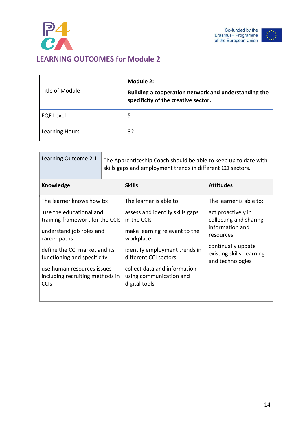



<span id="page-13-0"></span>

| Title of Module       | Module 2:<br>Building a cooperation network and understanding the<br>specificity of the creative sector. |
|-----------------------|----------------------------------------------------------------------------------------------------------|
| <b>EQF Level</b>      | 5                                                                                                        |
| <b>Learning Hours</b> | 32                                                                                                       |

| Learning Outcome 2.1                                                                                                                                                                                                              |  | The Apprenticeship Coach should be able to keep up to date with<br>skills gaps and employment trends in different CCI sectors.                                                                                                               |                                                                                                                                                                                |
|-----------------------------------------------------------------------------------------------------------------------------------------------------------------------------------------------------------------------------------|--|----------------------------------------------------------------------------------------------------------------------------------------------------------------------------------------------------------------------------------------------|--------------------------------------------------------------------------------------------------------------------------------------------------------------------------------|
| <b>Knowledge</b>                                                                                                                                                                                                                  |  | <b>Skills</b>                                                                                                                                                                                                                                | <b>Attitudes</b>                                                                                                                                                               |
| The learner knows how to:<br>use the educational and<br>training framework for the CCIs<br>understand job roles and<br>career paths<br>define the CCI market and its<br>functioning and specificity<br>use human resources issues |  | The learner is able to:<br>assess and identify skills gaps<br>in the CCIs<br>make learning relevant to the<br>workplace<br>identify employment trends in<br>different CCI sectors<br>collect data and information<br>using communication and | The learner is able to:<br>act proactively in<br>collecting and sharing<br>information and<br>resources<br>continually update<br>existing skills, learning<br>and technologies |
| including recruiting methods in<br><b>CCIS</b>                                                                                                                                                                                    |  | digital tools                                                                                                                                                                                                                                |                                                                                                                                                                                |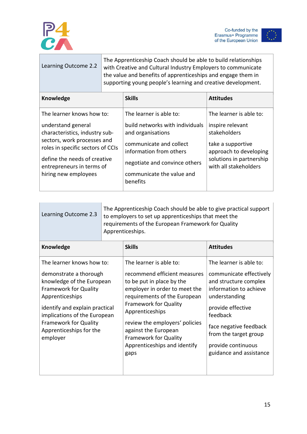

Co-funded by the<br>Erasmus+ Programme<br>of the European Union



| Learning Outcome 2.2                                                                                                                                                                                                                       | The Apprenticeship Coach should be able to build relationships<br>with Creative and Cultural Industry Employers to communicate<br>the value and benefits of apprenticeships and engage them in<br>supporting young people's learning and creative development. |                                                                                                                                                                                                                 |                                                                                                                                                                 |
|--------------------------------------------------------------------------------------------------------------------------------------------------------------------------------------------------------------------------------------------|----------------------------------------------------------------------------------------------------------------------------------------------------------------------------------------------------------------------------------------------------------------|-----------------------------------------------------------------------------------------------------------------------------------------------------------------------------------------------------------------|-----------------------------------------------------------------------------------------------------------------------------------------------------------------|
| Knowledge                                                                                                                                                                                                                                  |                                                                                                                                                                                                                                                                | <b>Skills</b>                                                                                                                                                                                                   | <b>Attitudes</b>                                                                                                                                                |
| The learner knows how to:<br>understand general<br>characteristics, industry sub-<br>sectors, work processes and<br>roles in specific sectors of CCIs<br>define the needs of creative<br>entrepreneurs in terms of<br>hiring new employees |                                                                                                                                                                                                                                                                | The learner is able to:<br>build networks with individuals<br>and organisations<br>communicate and collect<br>information from others<br>negotiate and convince others<br>communicate the value and<br>benefits | The learner is able to:<br>inspire relevant<br>stakeholders<br>take a supportive<br>approach to developing<br>solutions in partnership<br>with all stakeholders |

| Learning Outcome 2.3                                                                                                                                                                                                                                                         | The Apprenticeship Coach should be able to give practical support<br>to employers to set up apprenticeships that meet the<br>requirements of the European Framework for Quality<br>Apprenticeships. |                                                                                                                                                                                                                                                                                                                                            |                                                                                                                                                                                                                                                             |
|------------------------------------------------------------------------------------------------------------------------------------------------------------------------------------------------------------------------------------------------------------------------------|-----------------------------------------------------------------------------------------------------------------------------------------------------------------------------------------------------|--------------------------------------------------------------------------------------------------------------------------------------------------------------------------------------------------------------------------------------------------------------------------------------------------------------------------------------------|-------------------------------------------------------------------------------------------------------------------------------------------------------------------------------------------------------------------------------------------------------------|
| <b>Knowledge</b>                                                                                                                                                                                                                                                             |                                                                                                                                                                                                     | <b>Skills</b>                                                                                                                                                                                                                                                                                                                              | <b>Attitudes</b>                                                                                                                                                                                                                                            |
| The learner knows how to:<br>demonstrate a thorough<br>knowledge of the European<br><b>Framework for Quality</b><br>Apprenticeships<br>identify and explain practical<br>implications of the European<br><b>Framework for Quality</b><br>Apprenticeships for the<br>employer |                                                                                                                                                                                                     | The learner is able to:<br>recommend efficient measures<br>to be put in place by the<br>employer in order to meet the<br>requirements of the European<br><b>Framework for Quality</b><br>Apprenticeships<br>review the employers' policies<br>against the European<br><b>Framework for Quality</b><br>Apprenticeships and identify<br>gaps | The learner is able to:<br>communicate effectively<br>and structure complex<br>information to achieve<br>understanding<br>provide effective<br>feedback<br>face negative feedback<br>from the target group<br>provide continuous<br>guidance and assistance |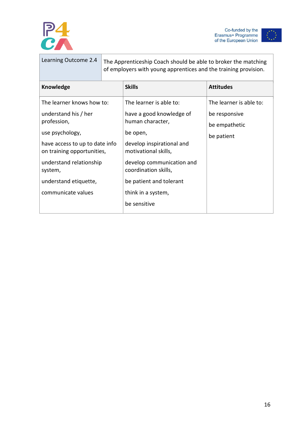





| Learning Outcome 2.4                                         | The Apprenticeship Coach should be able to broker the matching<br>of employers with young apprentices and the training provision. |                                                   |                         |
|--------------------------------------------------------------|-----------------------------------------------------------------------------------------------------------------------------------|---------------------------------------------------|-------------------------|
| <b>Knowledge</b>                                             |                                                                                                                                   | <b>Skills</b>                                     | <b>Attitudes</b>        |
| The learner knows how to:                                    |                                                                                                                                   | The learner is able to:                           | The learner is able to: |
| understand his / her                                         |                                                                                                                                   | have a good knowledge of<br>human character,      | be responsive           |
| profession,                                                  |                                                                                                                                   |                                                   | be empathetic           |
| use psychology,                                              |                                                                                                                                   | be open,                                          | be patient              |
| have access to up to date info<br>on training opportunities, |                                                                                                                                   | develop inspirational and<br>motivational skills, |                         |
| understand relationship<br>system,                           |                                                                                                                                   | develop communication and<br>coordination skills, |                         |
| understand etiquette,                                        |                                                                                                                                   | be patient and tolerant                           |                         |
| communicate values                                           |                                                                                                                                   | think in a system,                                |                         |
|                                                              |                                                                                                                                   | be sensitive                                      |                         |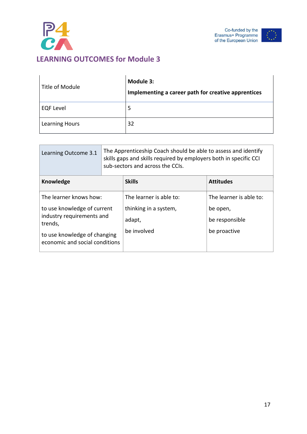



<span id="page-16-0"></span>

| Title of Module       | Module 3:<br>Implementing a career path for creative apprentices |
|-----------------------|------------------------------------------------------------------|
| <b>EQF Level</b>      | 5                                                                |
| <b>Learning Hours</b> | 32                                                               |

| Learning Outcome 3.1                                                                                                                  | The Apprenticeship Coach should be able to assess and identify<br>skills gaps and skills required by employers both in specific CCI<br>sub-sectors and across the CCIs. |                                                |                                            |
|---------------------------------------------------------------------------------------------------------------------------------------|-------------------------------------------------------------------------------------------------------------------------------------------------------------------------|------------------------------------------------|--------------------------------------------|
| Knowledge                                                                                                                             |                                                                                                                                                                         | <b>Skills</b>                                  | <b>Attitudes</b>                           |
| The learner knows how:                                                                                                                |                                                                                                                                                                         | The learner is able to:                        | The learner is able to:                    |
| to use knowledge of current<br>industry requirements and<br>trends,<br>to use knowledge of changing<br>economic and social conditions |                                                                                                                                                                         | thinking in a system,<br>adapt,<br>be involved | be open,<br>be responsible<br>be proactive |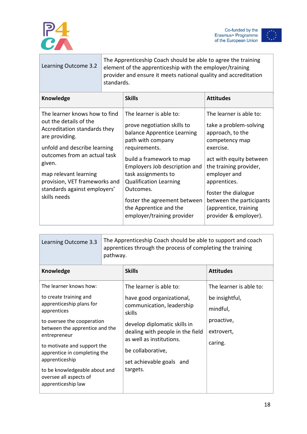

Co-funded by the<br>Erasmus+ Programme<br>of the European Union



| Learning Outcome 3.2                                                                                                                                                                                                                                                                          | The Apprenticeship Coach should be able to agree the training<br>element of the apprenticeship with the employer/training<br>provider and ensure it meets national quality and accreditation<br>standards. |                                                                                                                                                                                                                                                                                                                                                       |                                                                                                                                                                                                                                                                                                |
|-----------------------------------------------------------------------------------------------------------------------------------------------------------------------------------------------------------------------------------------------------------------------------------------------|------------------------------------------------------------------------------------------------------------------------------------------------------------------------------------------------------------|-------------------------------------------------------------------------------------------------------------------------------------------------------------------------------------------------------------------------------------------------------------------------------------------------------------------------------------------------------|------------------------------------------------------------------------------------------------------------------------------------------------------------------------------------------------------------------------------------------------------------------------------------------------|
| <b>Knowledge</b>                                                                                                                                                                                                                                                                              |                                                                                                                                                                                                            | <b>Skills</b>                                                                                                                                                                                                                                                                                                                                         | <b>Attitudes</b>                                                                                                                                                                                                                                                                               |
| The learner knows how to find<br>out the details of the<br>Accreditation standards they<br>are providing.<br>unfold and describe learning<br>outcomes from an actual task<br>given.<br>map relevant learning<br>provision, VET frameworks and<br>standards against employers'<br>skills needs |                                                                                                                                                                                                            | The learner is able to:<br>prove negotiation skills to<br>balance Apprentice Learning<br>path with company<br>requirements.<br>build a framework to map<br>Employers Job description and<br>task assignments to<br><b>Qualification Learning</b><br>Outcomes.<br>foster the agreement between<br>the Apprentice and the<br>employer/training provider | The learner is able to:<br>take a problem-solving<br>approach, to the<br>competency map<br>exercise.<br>act with equity between<br>the training provider,<br>employer and<br>apprentices.<br>foster the dialogue<br>between the participants<br>(apprentice, training<br>provider & employer). |

| Learning Outcome 3.3                                                                                                                                                                                                               | The Apprenticeship Coach should be able to support and coach<br>apprentices through the process of completing the training<br>pathway. |                                                                                                                                                                                                  |                            |
|------------------------------------------------------------------------------------------------------------------------------------------------------------------------------------------------------------------------------------|----------------------------------------------------------------------------------------------------------------------------------------|--------------------------------------------------------------------------------------------------------------------------------------------------------------------------------------------------|----------------------------|
| <b>Knowledge</b>                                                                                                                                                                                                                   |                                                                                                                                        | <b>Skills</b>                                                                                                                                                                                    | <b>Attitudes</b>           |
| The learner knows how:                                                                                                                                                                                                             |                                                                                                                                        | The learner is able to:                                                                                                                                                                          | The learner is able to:    |
| to create training and<br>apprenticeship plans for<br>apprentices<br>to oversee the cooperation<br>between the apprentice and the<br>entrepreneur<br>to motivate and support the<br>apprentice in completing the<br>apprenticeship |                                                                                                                                        | have good organizational,<br>communication, leadership<br>skills<br>develop diplomatic skills in<br>dealing with people in the field<br>as well as institutions.<br>caring.<br>be collaborative, | be insightful,<br>mindful, |
|                                                                                                                                                                                                                                    |                                                                                                                                        |                                                                                                                                                                                                  | proactive,<br>extrovert,   |
| to be knowledgeable about and<br>oversee all aspects of<br>apprenticeship law                                                                                                                                                      |                                                                                                                                        | set achievable goals and<br>targets.                                                                                                                                                             |                            |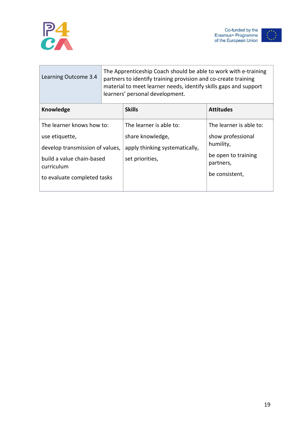



| The Apprenticeship Coach should be able to work with e-training<br>partners to identify training provision and co-create training<br>material to meet learner needs, identify skills gaps and support<br>learners' personal development. |                                |                                  |
|------------------------------------------------------------------------------------------------------------------------------------------------------------------------------------------------------------------------------------------|--------------------------------|----------------------------------|
|                                                                                                                                                                                                                                          | <b>Skills</b>                  | <b>Attitudes</b>                 |
| The learner knows how to:                                                                                                                                                                                                                | The learner is able to:        | The learner is able to:          |
|                                                                                                                                                                                                                                          | share knowledge,               | show professional<br>humility,   |
| develop transmission of values,                                                                                                                                                                                                          | apply thinking systematically, |                                  |
| build a value chain-based                                                                                                                                                                                                                | set priorities,                | be open to training<br>partners, |
| to evaluate completed tasks                                                                                                                                                                                                              |                                | be consistent,                   |
|                                                                                                                                                                                                                                          |                                |                                  |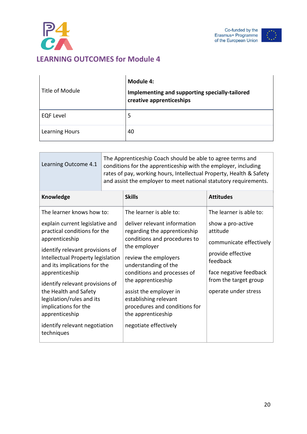



<span id="page-19-0"></span>

| Title of Module       | Module 4:<br>Implementing and supporting specially-tailored<br>creative apprenticeships |
|-----------------------|-----------------------------------------------------------------------------------------|
| <b>EQF Level</b>      | 5                                                                                       |
| <b>Learning Hours</b> | 40                                                                                      |

| Learning Outcome 4.1                                                                                                                                                                                                                                                                                                                                                        | The Apprenticeship Coach should be able to agree terms and<br>conditions for the apprenticeship with the employer, including<br>rates of pay, working hours, Intellectual Property, Health & Safety<br>and assist the employer to meet national statutory requirements. |                                                                                                                                                                                                                                                                                                                                                        |                                                                                                                                                                                                 |
|-----------------------------------------------------------------------------------------------------------------------------------------------------------------------------------------------------------------------------------------------------------------------------------------------------------------------------------------------------------------------------|-------------------------------------------------------------------------------------------------------------------------------------------------------------------------------------------------------------------------------------------------------------------------|--------------------------------------------------------------------------------------------------------------------------------------------------------------------------------------------------------------------------------------------------------------------------------------------------------------------------------------------------------|-------------------------------------------------------------------------------------------------------------------------------------------------------------------------------------------------|
| Knowledge                                                                                                                                                                                                                                                                                                                                                                   |                                                                                                                                                                                                                                                                         | <b>Skills</b>                                                                                                                                                                                                                                                                                                                                          | <b>Attitudes</b>                                                                                                                                                                                |
| The learner knows how to:<br>explain current legislative and<br>practical conditions for the<br>apprenticeship<br>identify relevant provisions of<br>Intellectual Property legislation<br>and its implications for the<br>apprenticeship<br>identify relevant provisions of<br>the Health and Safety<br>legislation/rules and its<br>implications for the<br>apprenticeship |                                                                                                                                                                                                                                                                         | The learner is able to:<br>deliver relevant information<br>regarding the apprenticeship<br>conditions and procedures to<br>the employer<br>review the employers<br>understanding of the<br>conditions and processes of<br>the apprenticeship<br>assist the employer in<br>establishing relevant<br>procedures and conditions for<br>the apprenticeship | The learner is able to:<br>show a pro-active<br>attitude<br>communicate effectively<br>provide effective<br>feedback<br>face negative feedback<br>from the target group<br>operate under stress |
| identify relevant negotiation<br>techniques                                                                                                                                                                                                                                                                                                                                 |                                                                                                                                                                                                                                                                         | negotiate effectively                                                                                                                                                                                                                                                                                                                                  |                                                                                                                                                                                                 |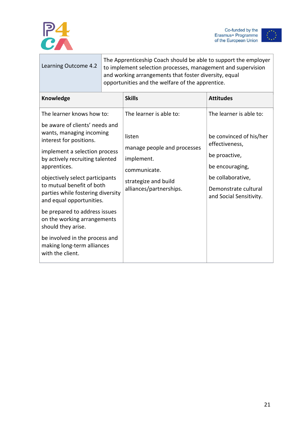



| Learning Outcome 4.2                                                                                                                                                                                                                                                                                                                                                                                    | The Apprenticeship Coach should be able to support the employer<br>to implement selection processes, management and supervision<br>and working arrangements that foster diversity, equal<br>opportunities and the welfare of the apprentice. |                                                                                                                                                   |                                                                                                                                                                                  |
|---------------------------------------------------------------------------------------------------------------------------------------------------------------------------------------------------------------------------------------------------------------------------------------------------------------------------------------------------------------------------------------------------------|----------------------------------------------------------------------------------------------------------------------------------------------------------------------------------------------------------------------------------------------|---------------------------------------------------------------------------------------------------------------------------------------------------|----------------------------------------------------------------------------------------------------------------------------------------------------------------------------------|
| Knowledge                                                                                                                                                                                                                                                                                                                                                                                               |                                                                                                                                                                                                                                              | <b>Skills</b>                                                                                                                                     | <b>Attitudes</b>                                                                                                                                                                 |
| The learner knows how to:<br>be aware of clients' needs and<br>wants, managing incoming<br>interest for positions.<br>implement a selection process<br>by actively recruiting talented<br>apprentices.<br>objectively select participants<br>to mutual benefit of both<br>parties while fostering diversity<br>and equal opportunities.<br>be prepared to address issues<br>on the working arrangements |                                                                                                                                                                                                                                              | The learner is able to:<br>listen<br>manage people and processes<br>implement.<br>communicate.<br>strategize and build<br>alliances/partnerships. | The learner is able to:<br>be convinced of his/her<br>effectiveness,<br>be proactive,<br>be encouraging,<br>be collaborative,<br>Demonstrate cultural<br>and Social Sensitivity. |
| should they arise.<br>be involved in the process and<br>making long-term alliances<br>with the client.                                                                                                                                                                                                                                                                                                  |                                                                                                                                                                                                                                              |                                                                                                                                                   |                                                                                                                                                                                  |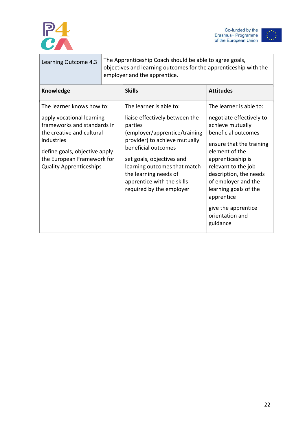

Co-funded by the<br>Erasmus+ Programme<br>of the European Union



| Learning Outcome 4.3                                                                                                                                                                                                              | The Apprenticeship Coach should be able to agree goals,<br>objectives and learning outcomes for the apprenticeship with the<br>employer and the apprentice. |                                                                                                                                                                                                                                                                                                               |                                                                                                                                                                                                                                                                    |
|-----------------------------------------------------------------------------------------------------------------------------------------------------------------------------------------------------------------------------------|-------------------------------------------------------------------------------------------------------------------------------------------------------------|---------------------------------------------------------------------------------------------------------------------------------------------------------------------------------------------------------------------------------------------------------------------------------------------------------------|--------------------------------------------------------------------------------------------------------------------------------------------------------------------------------------------------------------------------------------------------------------------|
| <b>Knowledge</b>                                                                                                                                                                                                                  |                                                                                                                                                             | <b>Skills</b>                                                                                                                                                                                                                                                                                                 | <b>Attitudes</b>                                                                                                                                                                                                                                                   |
| The learner knows how to:<br>apply vocational learning<br>frameworks and standards in<br>the creative and cultural<br>industries<br>define goals, objective apply<br>the European Framework for<br><b>Quality Apprenticeships</b> |                                                                                                                                                             | The learner is able to:<br>liaise effectively between the<br>parties<br>(employer/apprentice/training<br>provider) to achieve mutually<br>beneficial outcomes<br>set goals, objectives and<br>learning outcomes that match<br>the learning needs of<br>apprentice with the skills<br>required by the employer | The learner is able to:<br>negotiate effectively to<br>achieve mutually<br>beneficial outcomes<br>ensure that the training<br>element of the<br>apprenticeship is<br>relevant to the job<br>description, the needs<br>of employer and the<br>learning goals of the |
|                                                                                                                                                                                                                                   |                                                                                                                                                             |                                                                                                                                                                                                                                                                                                               | apprentice<br>give the apprentice<br>orientation and<br>guidance                                                                                                                                                                                                   |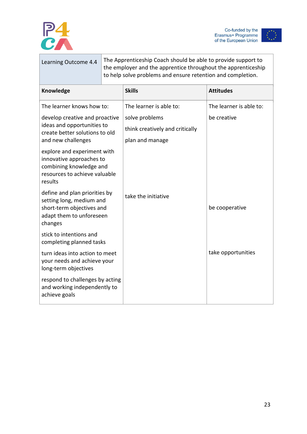



|                                                                                                                                | Learning Outcome 4.4                                                                  | The Apprenticeship Coach should be able to provide support to<br>the employer and the apprentice throughout the apprenticeship<br>to help solve problems and ensure retention and completion. |                                                                      |                         |
|--------------------------------------------------------------------------------------------------------------------------------|---------------------------------------------------------------------------------------|-----------------------------------------------------------------------------------------------------------------------------------------------------------------------------------------------|----------------------------------------------------------------------|-------------------------|
| Knowledge                                                                                                                      |                                                                                       |                                                                                                                                                                                               | <b>Skills</b>                                                        | <b>Attitudes</b>        |
| The learner knows how to:                                                                                                      |                                                                                       |                                                                                                                                                                                               | The learner is able to:                                              | The learner is able to: |
| develop creative and proactive<br>ideas and opportunities to<br>create better solutions to old<br>and new challenges           |                                                                                       |                                                                                                                                                                                               | solve problems<br>think creatively and critically<br>plan and manage | be creative             |
| explore and experiment with<br>innovative approaches to<br>combining knowledge and<br>resources to achieve valuable<br>results |                                                                                       |                                                                                                                                                                                               |                                                                      |                         |
| define and plan priorities by<br>setting long, medium and<br>short-term objectives and<br>adapt them to unforeseen<br>changes  |                                                                                       |                                                                                                                                                                                               | take the initiative                                                  | be cooperative          |
|                                                                                                                                | stick to intentions and<br>completing planned tasks                                   |                                                                                                                                                                                               |                                                                      |                         |
|                                                                                                                                | turn ideas into action to meet<br>your needs and achieve your<br>long-term objectives |                                                                                                                                                                                               |                                                                      | take opportunities      |
|                                                                                                                                | respond to challenges by acting<br>and working independently to<br>achieve goals      |                                                                                                                                                                                               |                                                                      |                         |
|                                                                                                                                |                                                                                       |                                                                                                                                                                                               |                                                                      |                         |